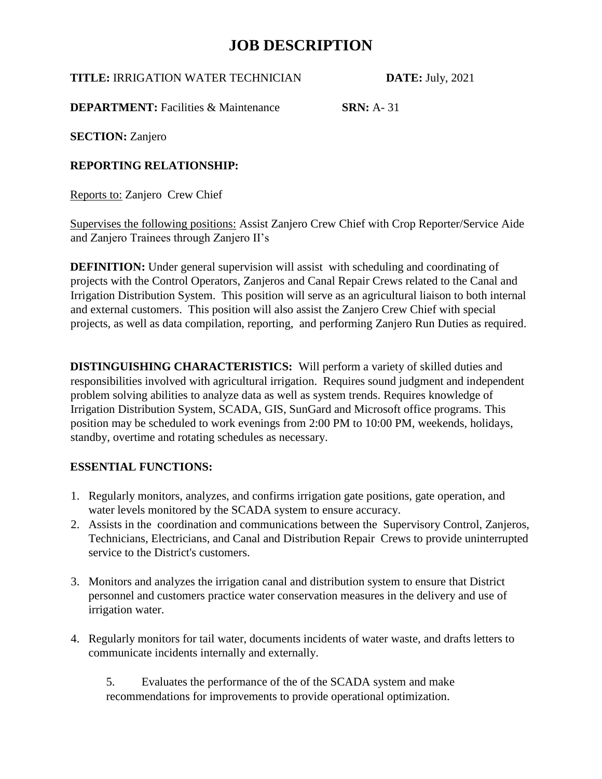**TITLE:** IRRIGATION WATER TECHNICIAN **DATE:** July, 2021

**DEPARTMENT:** Facilities & Maintenance **SRN:** A- 31

**SECTION:** Zanjero

### **REPORTING RELATIONSHIP:**

Reports to: Zanjero Crew Chief

Supervises the following positions: Assist Zanjero Crew Chief with Crop Reporter/Service Aide and Zanjero Trainees through Zanjero II's

**DEFINITION:** Under general supervision will assist with scheduling and coordinating of projects with the Control Operators, Zanjeros and Canal Repair Crews related to the Canal and Irrigation Distribution System. This position will serve as an agricultural liaison to both internal and external customers. This position will also assist the Zanjero Crew Chief with special projects, as well as data compilation, reporting, and performing Zanjero Run Duties as required.

**DISTINGUISHING CHARACTERISTICS:** Will perform a variety of skilled duties and responsibilities involved with agricultural irrigation. Requires sound judgment and independent problem solving abilities to analyze data as well as system trends. Requires knowledge of Irrigation Distribution System, SCADA, GIS, SunGard and Microsoft office programs. This position may be scheduled to work evenings from 2:00 PM to 10:00 PM, weekends, holidays, standby, overtime and rotating schedules as necessary.

#### **ESSENTIAL FUNCTIONS:**

- 1. Regularly monitors, analyzes, and confirms irrigation gate positions, gate operation, and water levels monitored by the SCADA system to ensure accuracy.
- 2. Assists in the coordination and communications between the Supervisory Control, Zanjeros, Technicians, Electricians, and Canal and Distribution Repair Crews to provide uninterrupted service to the District's customers.
- 3. Monitors and analyzes the irrigation canal and distribution system to ensure that District personnel and customers practice water conservation measures in the delivery and use of irrigation water.
- 4. Regularly monitors for tail water, documents incidents of water waste, and drafts letters to communicate incidents internally and externally.

5. Evaluates the performance of the of the SCADA system and make recommendations for improvements to provide operational optimization.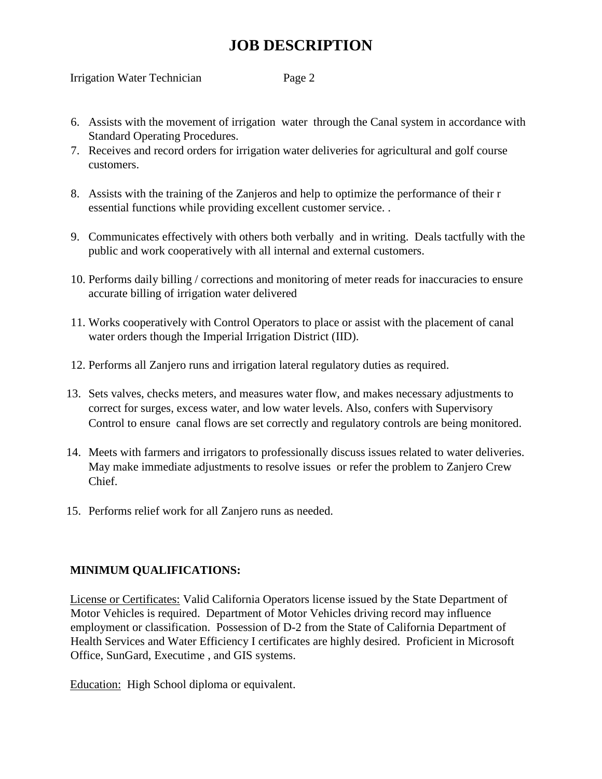Irrigation Water Technician Page 2

- 6. Assists with the movement of irrigation water through the Canal system in accordance with Standard Operating Procedures.
- 7. Receives and record orders for irrigation water deliveries for agricultural and golf course customers.
- 8. Assists with the training of the Zanjeros and help to optimize the performance of their r essential functions while providing excellent customer service. .
- 9. Communicates effectively with others both verbally and in writing. Deals tactfully with the public and work cooperatively with all internal and external customers.
- 10. Performs daily billing / corrections and monitoring of meter reads for inaccuracies to ensure accurate billing of irrigation water delivered
- 11. Works cooperatively with Control Operators to place or assist with the placement of canal water orders though the Imperial Irrigation District (IID).
- 12. Performs all Zanjero runs and irrigation lateral regulatory duties as required.
- 13. Sets valves, checks meters, and measures water flow, and makes necessary adjustments to correct for surges, excess water, and low water levels. Also, confers with Supervisory Control to ensure canal flows are set correctly and regulatory controls are being monitored.
- 14. Meets with farmers and irrigators to professionally discuss issues related to water deliveries. May make immediate adjustments to resolve issues or refer the problem to Zanjero Crew Chief.
- 15. Performs relief work for all Zanjero runs as needed.

#### **MINIMUM QUALIFICATIONS:**

License or Certificates: Valid California Operators license issued by the State Department of Motor Vehicles is required. Department of Motor Vehicles driving record may influence employment or classification. Possession of D-2 from the State of California Department of Health Services and Water Efficiency I certificates are highly desired. Proficient in Microsoft Office, SunGard, Executime , and GIS systems.

Education: High School diploma or equivalent.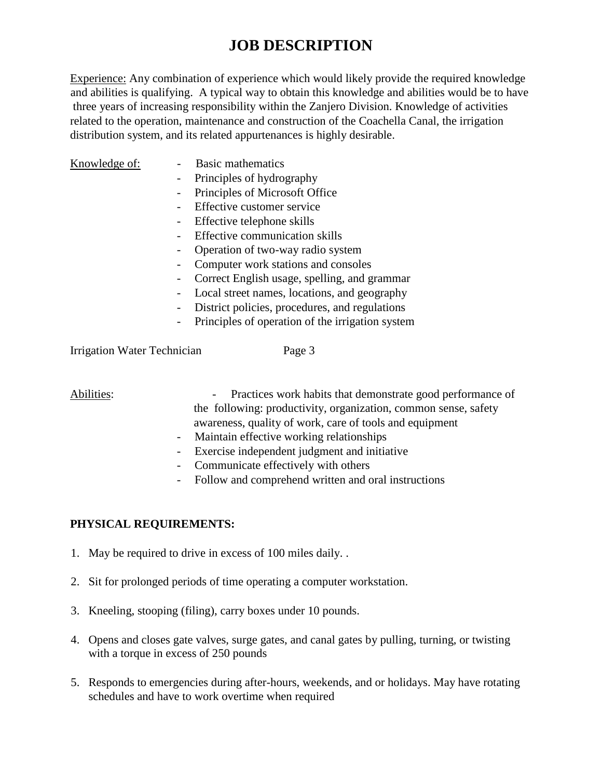Experience: Any combination of experience which would likely provide the required knowledge and abilities is qualifying. A typical way to obtain this knowledge and abilities would be to have three years of increasing responsibility within the Zanjero Division. Knowledge of activities related to the operation, maintenance and construction of the Coachella Canal, the irrigation distribution system, and its related appurtenances is highly desirable.

- Knowledge of: Basic mathematics
	- Principles of hydrography
	- Principles of Microsoft Office
	- Effective customer service
	- Effective telephone skills
	- Effective communication skills
	- Operation of two-way radio system
	- Computer work stations and consoles
	- Correct English usage, spelling, and grammar
	- Local street names, locations, and geography
	- District policies, procedures, and regulations
	- Principles of operation of the irrigation system

Irrigation Water Technician Page 3

Abilities: Practices work habits that demonstrate good performance of the following: productivity, organization, common sense, safety awareness, quality of work, care of tools and equipment

- Maintain effective working relationships
- Exercise independent judgment and initiative
- Communicate effectively with others
- Follow and comprehend written and oral instructions

#### **PHYSICAL REQUIREMENTS:**

- 1. May be required to drive in excess of 100 miles daily. .
- 2. Sit for prolonged periods of time operating a computer workstation.
- 3. Kneeling, stooping (filing), carry boxes under 10 pounds.
- 4. Opens and closes gate valves, surge gates, and canal gates by pulling, turning, or twisting with a torque in excess of 250 pounds
- 5. Responds to emergencies during after-hours, weekends, and or holidays. May have rotating schedules and have to work overtime when required